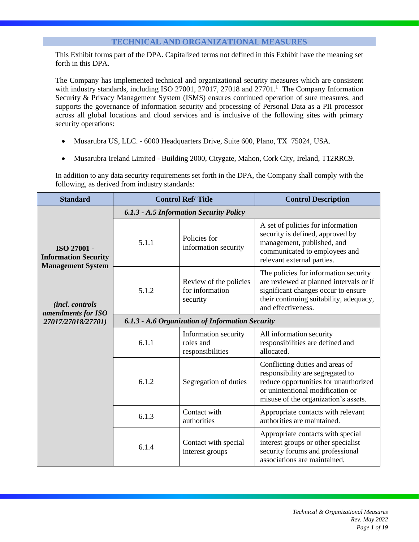## **TECHNICAL AND ORGANIZATIONAL MEASURES**

This Exhibit forms part of the DPA. Capitalized terms not defined in this Exhibit have the meaning set forth in this DPA.

The Company has implemented technical and organizational security measures which are consistent with industry standards, including ISO 27001, 27017, 27018 and 27701.<sup>1</sup> The Company Information Security & Privacy Management System (ISMS) ensures continued operation of sure measures, and supports the governance of information security and processing of Personal Data as a PII processor across all global locations and cloud services and is inclusive of the following sites with primary security operations:

- Musarubra US, LLC. 6000 Headquarters Drive, Suite 600, Plano, TX 75024, USA.
- Musarubra Ireland Limited Building 2000, Citygate, Mahon, Cork City, Ireland, T12RRC9.

In addition to any data security requirements set forth in the DPA, the Company shall comply with the following, as derived from industry standards:

| <b>Standard</b>                                                        | <b>Control Ref/Title</b>                         |                                                       | <b>Control Description</b>                                                                                                                                                               |  |
|------------------------------------------------------------------------|--------------------------------------------------|-------------------------------------------------------|------------------------------------------------------------------------------------------------------------------------------------------------------------------------------------------|--|
|                                                                        |                                                  | 6.1.3 - A.5 Information Security Policy               |                                                                                                                                                                                          |  |
| ISO 27001 -<br><b>Information Security</b><br><b>Management System</b> | 5.1.1                                            | Policies for<br>information security                  | A set of policies for information<br>security is defined, approved by<br>management, published, and<br>communicated to employees and<br>relevant external parties.                       |  |
| <i>(incl. controls</i>                                                 | 5.1.2                                            | Review of the policies<br>for information<br>security | The policies for information security<br>are reviewed at planned intervals or if<br>significant changes occur to ensure<br>their continuing suitability, adequacy,<br>and effectiveness. |  |
| amendments for ISO<br>27017/27018/27701)                               | 6.1.3 - A.6 Organization of Information Security |                                                       |                                                                                                                                                                                          |  |
|                                                                        | 6.1.1                                            | Information security<br>roles and<br>responsibilities | All information security<br>responsibilities are defined and<br>allocated.                                                                                                               |  |
|                                                                        | 6.1.2                                            | Segregation of duties                                 | Conflicting duties and areas of<br>responsibility are segregated to<br>reduce opportunities for unauthorized<br>or unintentional modification or<br>misuse of the organization's assets. |  |
|                                                                        | 6.1.3                                            | Contact with<br>authorities                           | Appropriate contacts with relevant<br>authorities are maintained.                                                                                                                        |  |
|                                                                        | 6.1.4                                            | Contact with special<br>interest groups               | Appropriate contacts with special<br>interest groups or other specialist<br>security forums and professional<br>associations are maintained.                                             |  |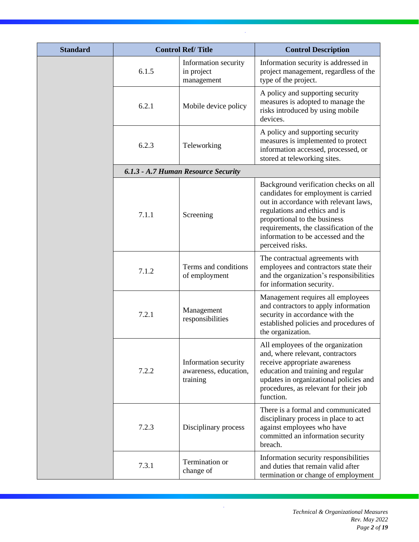| <b>Standard</b> |       | <b>Control Ref/Title</b>                                  | <b>Control Description</b>                                                                                                                                                                                                                                                                   |
|-----------------|-------|-----------------------------------------------------------|----------------------------------------------------------------------------------------------------------------------------------------------------------------------------------------------------------------------------------------------------------------------------------------------|
|                 | 6.1.5 | Information security<br>in project<br>management          | Information security is addressed in<br>project management, regardless of the<br>type of the project.                                                                                                                                                                                        |
|                 | 6.2.1 | Mobile device policy                                      | A policy and supporting security<br>measures is adopted to manage the<br>risks introduced by using mobile<br>devices.                                                                                                                                                                        |
|                 | 6.2.3 | Teleworking                                               | A policy and supporting security<br>measures is implemented to protect<br>information accessed, processed, or<br>stored at teleworking sites.                                                                                                                                                |
|                 |       | 6.1.3 - A.7 Human Resource Security                       |                                                                                                                                                                                                                                                                                              |
|                 | 7.1.1 | Screening                                                 | Background verification checks on all<br>candidates for employment is carried<br>out in accordance with relevant laws,<br>regulations and ethics and is<br>proportional to the business<br>requirements, the classification of the<br>information to be accessed and the<br>perceived risks. |
|                 | 7.1.2 | Terms and conditions<br>of employment                     | The contractual agreements with<br>employees and contractors state their<br>and the organization's responsibilities<br>for information security.                                                                                                                                             |
|                 | 7.2.1 | Management<br>responsibilities                            | Management requires all employees<br>and contractors to apply information<br>security in accordance with the<br>established policies and procedures of<br>the organization.                                                                                                                  |
|                 | 7.2.2 | Information security<br>awareness, education,<br>training | All employees of the organization<br>and, where relevant, contractors<br>receive appropriate awareness<br>education and training and regular<br>updates in organizational policies and<br>procedures, as relevant for their job<br>function.                                                 |
|                 | 7.2.3 | Disciplinary process                                      | There is a formal and communicated<br>disciplinary process in place to act<br>against employees who have<br>committed an information security<br>breach.                                                                                                                                     |
|                 | 7.3.1 | Termination or<br>change of                               | Information security responsibilities<br>and duties that remain valid after<br>termination or change of employment                                                                                                                                                                           |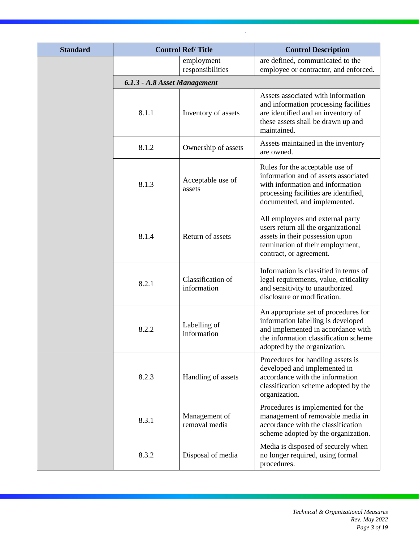| <b>Standard</b> |                              | <b>Control Ref/Title</b>         | <b>Control Description</b>                                                                                                                                                                |
|-----------------|------------------------------|----------------------------------|-------------------------------------------------------------------------------------------------------------------------------------------------------------------------------------------|
|                 |                              | employment<br>responsibilities   | are defined, communicated to the<br>employee or contractor, and enforced.                                                                                                                 |
|                 | 6.1.3 - A.8 Asset Management |                                  |                                                                                                                                                                                           |
|                 | 8.1.1                        | Inventory of assets              | Assets associated with information<br>and information processing facilities<br>are identified and an inventory of<br>these assets shall be drawn up and<br>maintained.                    |
|                 | 8.1.2                        | Ownership of assets              | Assets maintained in the inventory<br>are owned.                                                                                                                                          |
|                 | 8.1.3                        | Acceptable use of<br>assets      | Rules for the acceptable use of<br>information and of assets associated<br>with information and information<br>processing facilities are identified,<br>documented, and implemented.      |
|                 | 8.1.4                        | Return of assets                 | All employees and external party<br>users return all the organizational<br>assets in their possession upon<br>termination of their employment,<br>contract, or agreement.                 |
|                 | 8.2.1                        | Classification of<br>information | Information is classified in terms of<br>legal requirements, value, criticality<br>and sensitivity to unauthorized<br>disclosure or modification.                                         |
|                 | 8.2.2                        | Labelling of<br>information      | An appropriate set of procedures for<br>information labelling is developed<br>and implemented in accordance with<br>the information classification scheme<br>adopted by the organization. |
|                 | 8.2.3                        | Handling of assets               | Procedures for handling assets is<br>developed and implemented in<br>accordance with the information<br>classification scheme adopted by the<br>organization.                             |
|                 | 8.3.1                        | Management of<br>removal media   | Procedures is implemented for the<br>management of removable media in<br>accordance with the classification<br>scheme adopted by the organization.                                        |
|                 | 8.3.2                        | Disposal of media                | Media is disposed of securely when<br>no longer required, using formal<br>procedures.                                                                                                     |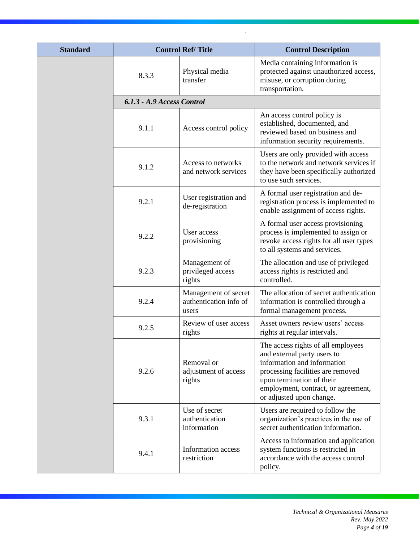| <b>Standard</b> |                            | <b>Control Ref/Title</b>                                | <b>Control Description</b>                                                                                                                                                                                                            |
|-----------------|----------------------------|---------------------------------------------------------|---------------------------------------------------------------------------------------------------------------------------------------------------------------------------------------------------------------------------------------|
|                 | 8.3.3                      | Physical media<br>transfer                              | Media containing information is<br>protected against unauthorized access,<br>misuse, or corruption during<br>transportation.                                                                                                          |
|                 | 6.1.3 - A.9 Access Control |                                                         |                                                                                                                                                                                                                                       |
|                 | 9.1.1                      | Access control policy                                   | An access control policy is<br>established, documented, and<br>reviewed based on business and<br>information security requirements.                                                                                                   |
|                 | 9.1.2                      | Access to networks<br>and network services              | Users are only provided with access<br>to the network and network services if<br>they have been specifically authorized<br>to use such services.                                                                                      |
|                 | 9.2.1                      | User registration and<br>de-registration                | A formal user registration and de-<br>registration process is implemented to<br>enable assignment of access rights.                                                                                                                   |
|                 | 9.2.2                      | User access<br>provisioning                             | A formal user access provisioning<br>process is implemented to assign or<br>revoke access rights for all user types<br>to all systems and services.                                                                                   |
|                 | 9.2.3                      | Management of<br>privileged access<br>rights            | The allocation and use of privileged<br>access rights is restricted and<br>controlled.                                                                                                                                                |
|                 | 9.2.4                      | Management of secret<br>authentication info of<br>users | The allocation of secret authentication<br>information is controlled through a<br>formal management process.                                                                                                                          |
|                 | 9.2.5                      | Review of user access<br>rights                         | Asset owners review users' access<br>rights at regular intervals.                                                                                                                                                                     |
|                 | 9.2.6                      | Removal or<br>adjustment of access<br>rights            | The access rights of all employees<br>and external party users to<br>information and information<br>processing facilities are removed<br>upon termination of their<br>employment, contract, or agreement,<br>or adjusted upon change. |
|                 | 9.3.1                      | Use of secret<br>authentication<br>information          | Users are required to follow the<br>organization's practices in the use of<br>secret authentication information.                                                                                                                      |
|                 | 9.4.1                      | Information access<br>restriction                       | Access to information and application<br>system functions is restricted in<br>accordance with the access control<br>policy.                                                                                                           |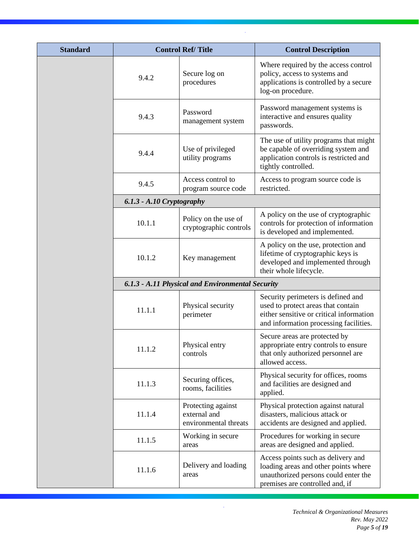| <b>Standard</b> |                             | <b>Control Ref/Title</b>                                    | <b>Control Description</b>                                                                                                                                     |
|-----------------|-----------------------------|-------------------------------------------------------------|----------------------------------------------------------------------------------------------------------------------------------------------------------------|
|                 | 9.4.2                       | Secure log on<br>procedures                                 | Where required by the access control<br>policy, access to systems and<br>applications is controlled by a secure<br>log-on procedure.                           |
|                 | 9.4.3                       | Password<br>management system                               | Password management systems is<br>interactive and ensures quality<br>passwords.                                                                                |
|                 | 9.4.4                       | Use of privileged<br>utility programs                       | The use of utility programs that might<br>be capable of overriding system and<br>application controls is restricted and<br>tightly controlled.                 |
|                 | 9.4.5                       | Access control to<br>program source code                    | Access to program source code is<br>restricted.                                                                                                                |
|                 | $6.1.3$ - A.10 Cryptography |                                                             |                                                                                                                                                                |
|                 | 10.1.1                      | Policy on the use of<br>cryptographic controls              | A policy on the use of cryptographic<br>controls for protection of information<br>is developed and implemented.                                                |
|                 | 10.1.2                      | Key management                                              | A policy on the use, protection and<br>lifetime of cryptographic keys is<br>developed and implemented through<br>their whole lifecycle.                        |
|                 |                             | 6.1.3 - A.11 Physical and Environmental Security            |                                                                                                                                                                |
|                 | 11.1.1                      | Physical security<br>perimeter                              | Security perimeters is defined and<br>used to protect areas that contain<br>either sensitive or critical information<br>and information processing facilities. |
|                 | 11.1.2                      | Physical entry<br>controls                                  | Secure areas are protected by<br>appropriate entry controls to ensure<br>that only authorized personnel are<br>allowed access.                                 |
|                 | 11.1.3                      | Securing offices,<br>rooms, facilities                      | Physical security for offices, rooms<br>and facilities are designed and<br>applied.                                                                            |
|                 | 11.1.4                      | Protecting against<br>external and<br>environmental threats | Physical protection against natural<br>disasters, malicious attack or<br>accidents are designed and applied.                                                   |
|                 | 11.1.5                      | Working in secure<br>areas                                  | Procedures for working in secure<br>areas are designed and applied.                                                                                            |
|                 | 11.1.6                      | Delivery and loading<br>areas                               | Access points such as delivery and<br>loading areas and other points where<br>unauthorized persons could enter the<br>premises are controlled and, if          |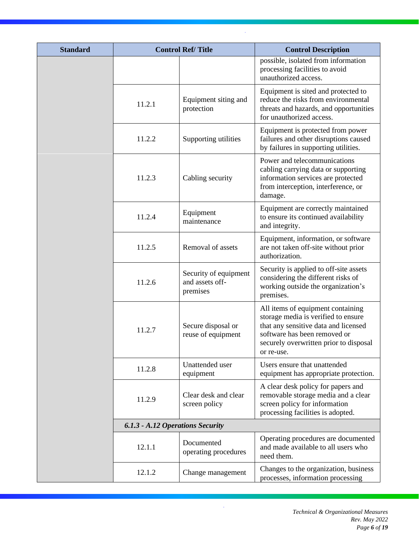| <b>Standard</b> |                                  | <b>Control Ref/Title</b>                             | <b>Control Description</b>                                                                                                                                                                               |
|-----------------|----------------------------------|------------------------------------------------------|----------------------------------------------------------------------------------------------------------------------------------------------------------------------------------------------------------|
|                 |                                  |                                                      | possible, isolated from information<br>processing facilities to avoid<br>unauthorized access.                                                                                                            |
|                 | 11.2.1                           | Equipment siting and<br>protection                   | Equipment is sited and protected to<br>reduce the risks from environmental<br>threats and hazards, and opportunities<br>for unauthorized access.                                                         |
|                 | 11.2.2                           | Supporting utilities                                 | Equipment is protected from power<br>failures and other disruptions caused<br>by failures in supporting utilities.                                                                                       |
|                 | 11.2.3                           | Cabling security                                     | Power and telecommunications<br>cabling carrying data or supporting<br>information services are protected<br>from interception, interference, or<br>damage.                                              |
|                 | 11.2.4                           | Equipment<br>maintenance                             | Equipment are correctly maintained<br>to ensure its continued availability<br>and integrity.                                                                                                             |
|                 | 11.2.5                           | Removal of assets                                    | Equipment, information, or software<br>are not taken off-site without prior<br>authorization.                                                                                                            |
|                 | 11.2.6                           | Security of equipment<br>and assets off-<br>premises | Security is applied to off-site assets<br>considering the different risks of<br>working outside the organization's<br>premises.                                                                          |
|                 | 11.2.7                           | Secure disposal or<br>reuse of equipment             | All items of equipment containing<br>storage media is verified to ensure<br>that any sensitive data and licensed<br>software has been removed or<br>securely overwritten prior to disposal<br>or re-use. |
|                 | 11.2.8                           | Unattended user<br>equipment                         | Users ensure that unattended<br>equipment has appropriate protection.                                                                                                                                    |
|                 | 11.2.9                           | Clear desk and clear<br>screen policy                | A clear desk policy for papers and<br>removable storage media and a clear<br>screen policy for information<br>processing facilities is adopted.                                                          |
|                 | 6.1.3 - A.12 Operations Security |                                                      |                                                                                                                                                                                                          |
|                 | 12.1.1                           | Documented<br>operating procedures                   | Operating procedures are documented<br>and made available to all users who<br>need them.                                                                                                                 |
|                 | 12.1.2                           | Change management                                    | Changes to the organization, business<br>processes, information processing                                                                                                                               |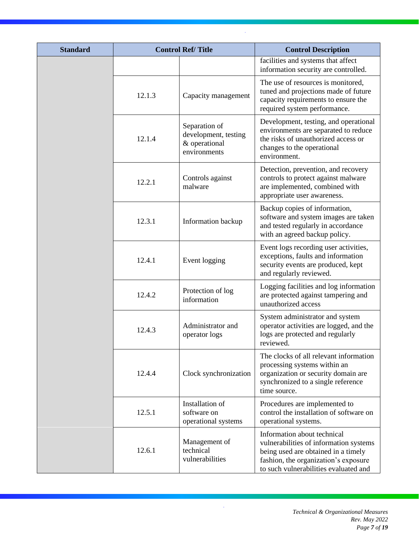| <b>Standard</b> |        | <b>Control Ref/Title</b>                                               | <b>Control Description</b>                                                                                                                                                                    |
|-----------------|--------|------------------------------------------------------------------------|-----------------------------------------------------------------------------------------------------------------------------------------------------------------------------------------------|
|                 |        |                                                                        | facilities and systems that affect<br>information security are controlled.                                                                                                                    |
|                 | 12.1.3 | Capacity management                                                    | The use of resources is monitored,<br>tuned and projections made of future<br>capacity requirements to ensure the<br>required system performance.                                             |
|                 | 12.1.4 | Separation of<br>development, testing<br>& operational<br>environments | Development, testing, and operational<br>environments are separated to reduce<br>the risks of unauthorized access or<br>changes to the operational<br>environment.                            |
|                 | 12.2.1 | Controls against<br>malware                                            | Detection, prevention, and recovery<br>controls to protect against malware<br>are implemented, combined with<br>appropriate user awareness.                                                   |
|                 | 12.3.1 | Information backup                                                     | Backup copies of information,<br>software and system images are taken<br>and tested regularly in accordance<br>with an agreed backup policy.                                                  |
|                 | 12.4.1 | Event logging                                                          | Event logs recording user activities,<br>exceptions, faults and information<br>security events are produced, kept<br>and regularly reviewed.                                                  |
|                 | 12.4.2 | Protection of log<br>information                                       | Logging facilities and log information<br>are protected against tampering and<br>unauthorized access                                                                                          |
|                 | 12.4.3 | Administrator and<br>operator logs                                     | System administrator and system<br>operator activities are logged, and the<br>logs are protected and regularly<br>reviewed.                                                                   |
|                 | 12.4.4 | Clock synchronization                                                  | The clocks of all relevant information<br>processing systems within an<br>organization or security domain are<br>synchronized to a single reference<br>time source.                           |
|                 | 12.5.1 | Installation of<br>software on<br>operational systems                  | Procedures are implemented to<br>control the installation of software on<br>operational systems.                                                                                              |
|                 | 12.6.1 | Management of<br>technical<br>vulnerabilities                          | Information about technical<br>vulnerabilities of information systems<br>being used are obtained in a timely<br>fashion, the organization's exposure<br>to such vulnerabilities evaluated and |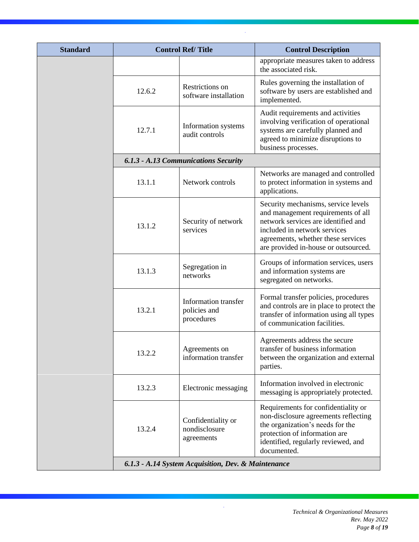| <b>Standard</b> |                                                     | <b>Control Ref/Title</b>                           | <b>Control Description</b>                                                                                                                                                                                                     |  |
|-----------------|-----------------------------------------------------|----------------------------------------------------|--------------------------------------------------------------------------------------------------------------------------------------------------------------------------------------------------------------------------------|--|
|                 |                                                     |                                                    | appropriate measures taken to address<br>the associated risk.                                                                                                                                                                  |  |
|                 | 12.6.2                                              | Restrictions on<br>software installation           | Rules governing the installation of<br>software by users are established and<br>implemented.                                                                                                                                   |  |
|                 | 12.7.1                                              | Information systems<br>audit controls              | Audit requirements and activities<br>involving verification of operational<br>systems are carefully planned and<br>agreed to minimize disruptions to<br>business processes.                                                    |  |
|                 |                                                     | 6.1.3 - A.13 Communications Security               |                                                                                                                                                                                                                                |  |
|                 | 13.1.1                                              | Network controls                                   | Networks are managed and controlled<br>to protect information in systems and<br>applications.                                                                                                                                  |  |
|                 | 13.1.2                                              | Security of network<br>services                    | Security mechanisms, service levels<br>and management requirements of all<br>network services are identified and<br>included in network services<br>agreements, whether these services<br>are provided in-house or outsourced. |  |
|                 | 13.1.3                                              | Segregation in<br>networks                         | Groups of information services, users<br>and information systems are<br>segregated on networks.                                                                                                                                |  |
|                 | 13.2.1                                              | Information transfer<br>policies and<br>procedures | Formal transfer policies, procedures<br>and controls are in place to protect the<br>transfer of information using all types<br>of communication facilities.                                                                    |  |
|                 | 13.2.2                                              | Agreements on<br>information transfer              | Agreements address the secure<br>transfer of business information<br>between the organization and external<br>parties.                                                                                                         |  |
|                 | 13.2.3                                              | Electronic messaging                               | Information involved in electronic<br>messaging is appropriately protected.                                                                                                                                                    |  |
|                 | 13.2.4                                              | Confidentiality or<br>nondisclosure<br>agreements  | Requirements for confidentiality or<br>non-disclosure agreements reflecting<br>the organization's needs for the<br>protection of information are<br>identified, regularly reviewed, and<br>documented.                         |  |
|                 | 6.1.3 - A.14 System Acquisition, Dev. & Maintenance |                                                    |                                                                                                                                                                                                                                |  |

 $\bar{\gamma}$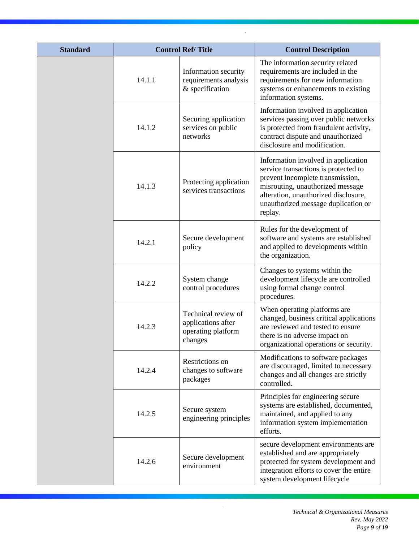| <b>Standard</b> |        | <b>Control Ref/Title</b>                                                   | <b>Control Description</b>                                                                                                                                                                                                                    |
|-----------------|--------|----------------------------------------------------------------------------|-----------------------------------------------------------------------------------------------------------------------------------------------------------------------------------------------------------------------------------------------|
|                 | 14.1.1 | Information security<br>requirements analysis<br>& specification           | The information security related<br>requirements are included in the<br>requirements for new information<br>systems or enhancements to existing<br>information systems.                                                                       |
|                 | 14.1.2 | Securing application<br>services on public<br>networks                     | Information involved in application<br>services passing over public networks<br>is protected from fraudulent activity,<br>contract dispute and unauthorized<br>disclosure and modification.                                                   |
|                 | 14.1.3 | Protecting application<br>services transactions                            | Information involved in application<br>service transactions is protected to<br>prevent incomplete transmission,<br>misrouting, unauthorized message<br>alteration, unauthorized disclosure,<br>unauthorized message duplication or<br>replay. |
|                 | 14.2.1 | Secure development<br>policy                                               | Rules for the development of<br>software and systems are established<br>and applied to developments within<br>the organization.                                                                                                               |
|                 | 14.2.2 | System change<br>control procedures                                        | Changes to systems within the<br>development lifecycle are controlled<br>using formal change control<br>procedures.                                                                                                                           |
|                 | 14.2.3 | Technical review of<br>applications after<br>operating platform<br>changes | When operating platforms are<br>changed, business critical applications<br>are reviewed and tested to ensure<br>there is no adverse impact on<br>organizational operations or security.                                                       |
|                 | 14.2.4 | Restrictions on<br>changes to software<br>packages                         | Modifications to software packages<br>are discouraged, limited to necessary<br>changes and all changes are strictly<br>controlled.                                                                                                            |
|                 | 14.2.5 | Secure system<br>engineering principles                                    | Principles for engineering secure<br>systems are established, documented,<br>maintained, and applied to any<br>information system implementation<br>efforts.                                                                                  |
|                 | 14.2.6 | Secure development<br>environment                                          | secure development environments are<br>established and are appropriately<br>protected for system development and<br>integration efforts to cover the entire<br>system development lifecycle                                                   |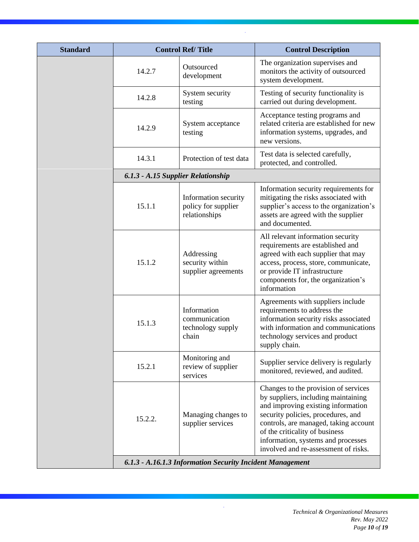| <b>Standard</b> |                                                           | <b>Control Ref/Title</b>                                     | <b>Control Description</b>                                                                                                                                                                                                                                                                                       |  |
|-----------------|-----------------------------------------------------------|--------------------------------------------------------------|------------------------------------------------------------------------------------------------------------------------------------------------------------------------------------------------------------------------------------------------------------------------------------------------------------------|--|
|                 | 14.2.7                                                    | Outsourced<br>development                                    | The organization supervises and<br>monitors the activity of outsourced<br>system development.                                                                                                                                                                                                                    |  |
|                 | 14.2.8                                                    | System security<br>testing                                   | Testing of security functionality is<br>carried out during development.                                                                                                                                                                                                                                          |  |
|                 | 14.2.9                                                    | System acceptance<br>testing                                 | Acceptance testing programs and<br>related criteria are established for new<br>information systems, upgrades, and<br>new versions.                                                                                                                                                                               |  |
|                 | 14.3.1                                                    | Protection of test data                                      | Test data is selected carefully,<br>protected, and controlled.                                                                                                                                                                                                                                                   |  |
|                 | 6.1.3 - A.15 Supplier Relationship                        |                                                              |                                                                                                                                                                                                                                                                                                                  |  |
|                 | 15.1.1                                                    | Information security<br>policy for supplier<br>relationships | Information security requirements for<br>mitigating the risks associated with<br>supplier's access to the organization's<br>assets are agreed with the supplier<br>and documented.                                                                                                                               |  |
|                 | 15.1.2                                                    | Addressing<br>security within<br>supplier agreements         | All relevant information security<br>requirements are established and<br>agreed with each supplier that may<br>access, process, store, communicate,<br>or provide IT infrastructure<br>components for, the organization's<br>information                                                                         |  |
|                 | 15.1.3                                                    | Information<br>communication<br>technology supply<br>chain   | Agreements with suppliers include<br>requirements to address the<br>information security risks associated<br>with information and communications<br>technology services and product<br>supply chain.                                                                                                             |  |
|                 | 15.2.1                                                    | Monitoring and<br>review of supplier<br>services             | Supplier service delivery is regularly<br>monitored, reviewed, and audited.                                                                                                                                                                                                                                      |  |
|                 | 15.2.2.                                                   | Managing changes to<br>supplier services                     | Changes to the provision of services<br>by suppliers, including maintaining<br>and improving existing information<br>security policies, procedures, and<br>controls, are managed, taking account<br>of the criticality of business<br>information, systems and processes<br>involved and re-assessment of risks. |  |
|                 | 6.1.3 - A.16.1.3 Information Security Incident Management |                                                              |                                                                                                                                                                                                                                                                                                                  |  |

 $\bar{\gamma}$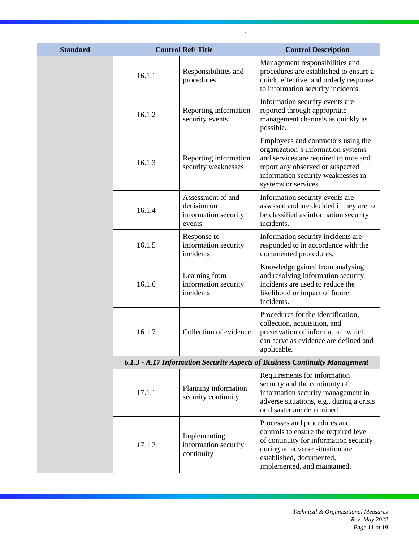| <b>Standard</b> |        | <b>Control Ref/Title</b>                                           | <b>Control Description</b>                                                                                                                                                                                           |
|-----------------|--------|--------------------------------------------------------------------|----------------------------------------------------------------------------------------------------------------------------------------------------------------------------------------------------------------------|
|                 | 16.1.1 | Responsibilities and<br>procedures                                 | Management responsibilities and<br>procedures are established to ensure a<br>quick, effective, and orderly response<br>to information security incidents.                                                            |
|                 | 16.1.2 | Reporting information<br>security events                           | Information security events are<br>reported through appropriate<br>management channels as quickly as<br>possible.                                                                                                    |
|                 | 16.1.3 | Reporting information<br>security weaknesses                       | Employees and contractors using the<br>organization's information systems<br>and services are required to note and<br>report any observed or suspected<br>information security weaknesses in<br>systems or services. |
|                 | 16.1.4 | Assessment of and<br>decision on<br>information security<br>events | Information security events are<br>assessed and are decided if they are to<br>be classified as information security<br>incidents.                                                                                    |
|                 | 16.1.5 | Response to<br>information security<br>incidents                   | Information security incidents are<br>responded to in accordance with the<br>documented procedures.                                                                                                                  |
|                 | 16.1.6 | Learning from<br>information security<br>incidents                 | Knowledge gained from analysing<br>and resolving information security<br>incidents are used to reduce the<br>likelihood or impact of future<br>incidents.                                                            |
|                 | 16.1.7 | Collection of evidence                                             | Procedures for the identification,<br>collection, acquisition, and<br>preservation of information, which<br>can serve as evidence are defined and<br>applicable.                                                     |
|                 |        |                                                                    | 6.1.3 - A.17 Information Security Aspects of Business Continuity Management                                                                                                                                          |
|                 | 17.1.1 | Planning information<br>security continuity                        | Requirements for information<br>security and the continuity of<br>information security management in<br>adverse situations, e.g., during a crisis<br>or disaster are determined.                                     |
|                 | 17.1.2 | Implementing<br>information security<br>continuity                 | Processes and procedures and<br>controls to ensure the required level<br>of continuity for information security<br>during an adverse situation are<br>established, documented,<br>implemented, and maintained.       |

 $\bar{\gamma}$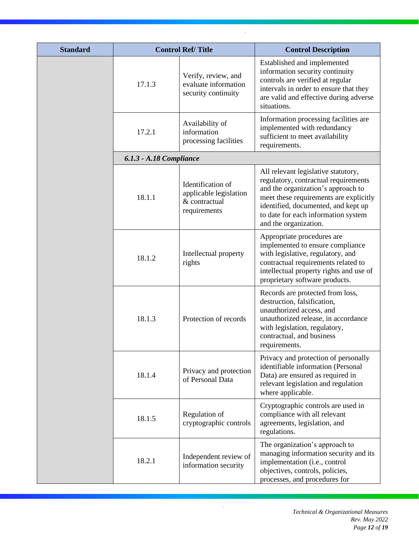| <b>Standard</b> |                         | <b>Control Ref/Title</b>                                                     | <b>Control Description</b>                                                                                                                                                                                                                                         |
|-----------------|-------------------------|------------------------------------------------------------------------------|--------------------------------------------------------------------------------------------------------------------------------------------------------------------------------------------------------------------------------------------------------------------|
|                 | 17.1.3                  | Verify, review, and<br>evaluate information<br>security continuity           | Established and implemented<br>information security continuity<br>controls are verified at regular<br>intervals in order to ensure that they<br>are valid and effective during adverse<br>situations.                                                              |
|                 | 17.2.1                  | Availability of<br>information<br>processing facilities                      | Information processing facilities are<br>implemented with redundancy<br>sufficient to meet availability<br>requirements.                                                                                                                                           |
|                 | 6.1.3 - A.18 Compliance |                                                                              |                                                                                                                                                                                                                                                                    |
|                 | 18.1.1                  | Identification of<br>applicable legislation<br>& contractual<br>requirements | All relevant legislative statutory,<br>regulatory, contractual requirements<br>and the organization's approach to<br>meet these requirements are explicitly<br>identified, documented, and kept up<br>to date for each information system<br>and the organization. |
|                 | 18.1.2                  | Intellectual property<br>rights                                              | Appropriate procedures are<br>implemented to ensure compliance<br>with legislative, regulatory, and<br>contractual requirements related to<br>intellectual property rights and use of<br>proprietary software products.                                            |
|                 | 18.1.3                  | Protection of records                                                        | Records are protected from loss,<br>destruction, falsification,<br>unauthorized access, and<br>unauthorized release, in accordance<br>with legislation, regulatory,<br>contractual, and business<br>requirements.                                                  |
|                 | 18.1.4                  | Privacy and protection<br>of Personal Data                                   | Privacy and protection of personally<br>identifiable information (Personal<br>Data) are ensured as required in<br>relevant legislation and regulation<br>where applicable.                                                                                         |
|                 | 18.1.5                  | Regulation of<br>cryptographic controls                                      | Cryptographic controls are used in<br>compliance with all relevant<br>agreements, legislation, and<br>regulations.                                                                                                                                                 |
|                 | 18.2.1                  | Independent review of<br>information security                                | The organization's approach to<br>managing information security and its<br>implementation (i.e., control<br>objectives, controls, policies,<br>processes, and procedures for                                                                                       |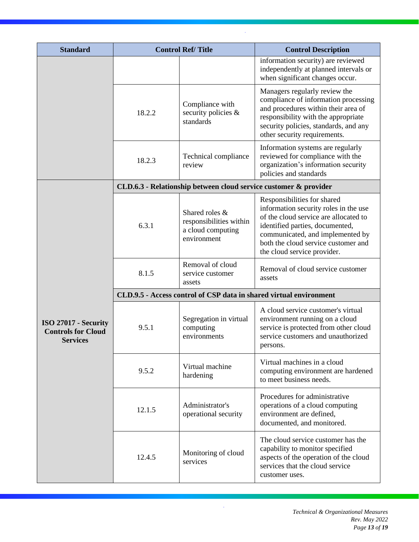| <b>Standard</b>                                                      | <b>Control Ref/Title</b>                                           |                                                                               | <b>Control Description</b>                                                                                                                                                                                                                                 |  |
|----------------------------------------------------------------------|--------------------------------------------------------------------|-------------------------------------------------------------------------------|------------------------------------------------------------------------------------------------------------------------------------------------------------------------------------------------------------------------------------------------------------|--|
|                                                                      |                                                                    |                                                                               | information security) are reviewed<br>independently at planned intervals or<br>when significant changes occur.                                                                                                                                             |  |
|                                                                      | 18.2.2                                                             | Compliance with<br>security policies &<br>standards                           | Managers regularly review the<br>compliance of information processing<br>and procedures within their area of<br>responsibility with the appropriate<br>security policies, standards, and any<br>other security requirements.                               |  |
|                                                                      | 18.2.3                                                             | Technical compliance<br>review                                                | Information systems are regularly<br>reviewed for compliance with the<br>organization's information security<br>policies and standards                                                                                                                     |  |
|                                                                      |                                                                    |                                                                               | CLD.6.3 - Relationship between cloud service customer & provider                                                                                                                                                                                           |  |
| ISO 27017 - Security<br><b>Controls for Cloud</b><br><b>Services</b> | 6.3.1                                                              | Shared roles &<br>responsibilities within<br>a cloud computing<br>environment | Responsibilities for shared<br>information security roles in the use<br>of the cloud service are allocated to<br>identified parties, documented,<br>communicated, and implemented by<br>both the cloud service customer and<br>the cloud service provider. |  |
|                                                                      | 8.1.5                                                              | Removal of cloud<br>service customer<br>assets                                | Removal of cloud service customer<br>assets                                                                                                                                                                                                                |  |
|                                                                      | CLD.9.5 - Access control of CSP data in shared virtual environment |                                                                               |                                                                                                                                                                                                                                                            |  |
|                                                                      | 9.5.1                                                              | Segregation in virtual<br>computing<br>environments                           | A cloud service customer's virtual<br>environment running on a cloud<br>service is protected from other cloud<br>service customers and unauthorized<br>persons.                                                                                            |  |
|                                                                      | 9.5.2                                                              | Virtual machine<br>hardening                                                  | Virtual machines in a cloud<br>computing environment are hardened<br>to meet business needs.                                                                                                                                                               |  |
|                                                                      | 12.1.5                                                             | Administrator's<br>operational security                                       | Procedures for administrative<br>operations of a cloud computing<br>environment are defined,<br>documented, and monitored.                                                                                                                                 |  |
|                                                                      | 12.4.5                                                             | Monitoring of cloud<br>services                                               | The cloud service customer has the<br>capability to monitor specified<br>aspects of the operation of the cloud<br>services that the cloud service<br>customer uses.                                                                                        |  |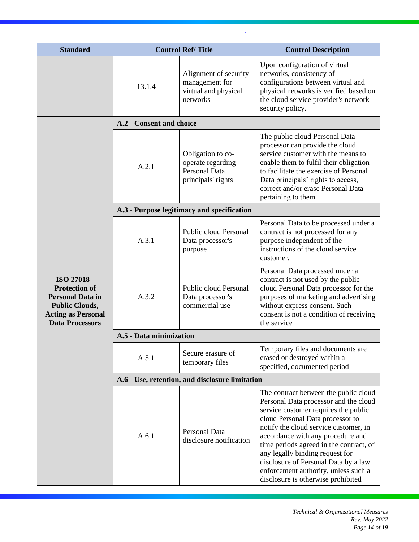| <b>Standard</b>                                                                                                                                | <b>Control Ref/Title</b>                        |                                                                                      | <b>Control Description</b>                                                                                                                                                                                                                                                                                                                                                                                                                   |  |
|------------------------------------------------------------------------------------------------------------------------------------------------|-------------------------------------------------|--------------------------------------------------------------------------------------|----------------------------------------------------------------------------------------------------------------------------------------------------------------------------------------------------------------------------------------------------------------------------------------------------------------------------------------------------------------------------------------------------------------------------------------------|--|
|                                                                                                                                                | 13.1.4                                          | Alignment of security<br>management for<br>virtual and physical<br>networks          | Upon configuration of virtual<br>networks, consistency of<br>configurations between virtual and<br>physical networks is verified based on<br>the cloud service provider's network<br>security policy.                                                                                                                                                                                                                                        |  |
|                                                                                                                                                | A.2 - Consent and choice                        |                                                                                      |                                                                                                                                                                                                                                                                                                                                                                                                                                              |  |
|                                                                                                                                                | A.2.1                                           | Obligation to co-<br>operate regarding<br><b>Personal Data</b><br>principals' rights | The public cloud Personal Data<br>processor can provide the cloud<br>service customer with the means to<br>enable them to fulfil their obligation<br>to facilitate the exercise of Personal<br>Data principals' rights to access,<br>correct and/or erase Personal Data<br>pertaining to them.                                                                                                                                               |  |
|                                                                                                                                                | A.3 - Purpose legitimacy and specification      |                                                                                      |                                                                                                                                                                                                                                                                                                                                                                                                                                              |  |
| ISO 27018 -<br><b>Protection of</b><br><b>Personal Data in</b><br><b>Public Clouds,</b><br><b>Acting as Personal</b><br><b>Data Processors</b> | A.3.1                                           | Public cloud Personal<br>Data processor's<br>purpose                                 | Personal Data to be processed under a<br>contract is not processed for any<br>purpose independent of the<br>instructions of the cloud service<br>customer.                                                                                                                                                                                                                                                                                   |  |
|                                                                                                                                                | A.3.2                                           | Public cloud Personal<br>Data processor's<br>commercial use                          | Personal Data processed under a<br>contract is not used by the public<br>cloud Personal Data processor for the<br>purposes of marketing and advertising<br>without express consent. Such<br>consent is not a condition of receiving<br>the service                                                                                                                                                                                           |  |
|                                                                                                                                                | A.5 - Data minimization                         |                                                                                      |                                                                                                                                                                                                                                                                                                                                                                                                                                              |  |
|                                                                                                                                                | A.5.1                                           | Secure erasure of<br>temporary files                                                 | Temporary files and documents are<br>erased or destroyed within a<br>specified, documented period                                                                                                                                                                                                                                                                                                                                            |  |
|                                                                                                                                                | A.6 - Use, retention, and disclosure limitation |                                                                                      |                                                                                                                                                                                                                                                                                                                                                                                                                                              |  |
|                                                                                                                                                | A.6.1                                           | Personal Data<br>disclosure notification                                             | The contract between the public cloud<br>Personal Data processor and the cloud<br>service customer requires the public<br>cloud Personal Data processor to<br>notify the cloud service customer, in<br>accordance with any procedure and<br>time periods agreed in the contract, of<br>any legally binding request for<br>disclosure of Personal Data by a law<br>enforcement authority, unless such a<br>disclosure is otherwise prohibited |  |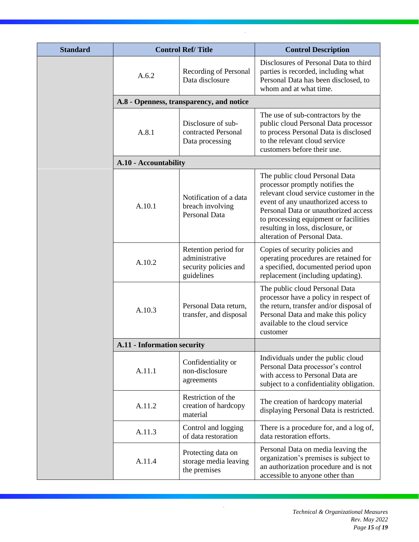| <b>Standard</b> | <b>Control Ref/Title</b>    |                                                                                                                                                                                                                                                                                                                                                                                                                                                                                                                                                                                                                                                                                                                                                                                                        | <b>Control Description</b>                                                                                                                                                                             |  |
|-----------------|-----------------------------|--------------------------------------------------------------------------------------------------------------------------------------------------------------------------------------------------------------------------------------------------------------------------------------------------------------------------------------------------------------------------------------------------------------------------------------------------------------------------------------------------------------------------------------------------------------------------------------------------------------------------------------------------------------------------------------------------------------------------------------------------------------------------------------------------------|--------------------------------------------------------------------------------------------------------------------------------------------------------------------------------------------------------|--|
|                 | A.6.2                       | Recording of Personal<br>Data disclosure                                                                                                                                                                                                                                                                                                                                                                                                                                                                                                                                                                                                                                                                                                                                                               | Disclosures of Personal Data to third<br>parties is recorded, including what<br>Personal Data has been disclosed, to<br>whom and at what time.                                                         |  |
|                 |                             | A.8 - Openness, transparency, and notice<br>The use of sub-contractors by the<br>Disclosure of sub-<br>public cloud Personal Data processor<br>to process Personal Data is disclosed<br>contracted Personal<br>to the relevant cloud service<br>Data processing<br>customers before their use.<br>The public cloud Personal Data<br>processor promptly notifies the<br>relevant cloud service customer in the<br>Notification of a data<br>event of any unauthorized access to<br>breach involving<br>Personal Data or unauthorized access<br><b>Personal Data</b><br>to processing equipment or facilities<br>resulting in loss, disclosure, or<br>alteration of Personal Data.<br>Retention period for<br>Copies of security policies and<br>administrative<br>operating procedures are retained for |                                                                                                                                                                                                        |  |
|                 | A.8.1                       |                                                                                                                                                                                                                                                                                                                                                                                                                                                                                                                                                                                                                                                                                                                                                                                                        |                                                                                                                                                                                                        |  |
|                 | A.10 - Accountability       |                                                                                                                                                                                                                                                                                                                                                                                                                                                                                                                                                                                                                                                                                                                                                                                                        |                                                                                                                                                                                                        |  |
|                 | A.10.1                      |                                                                                                                                                                                                                                                                                                                                                                                                                                                                                                                                                                                                                                                                                                                                                                                                        |                                                                                                                                                                                                        |  |
|                 | A.10.2                      | security policies and<br>guidelines                                                                                                                                                                                                                                                                                                                                                                                                                                                                                                                                                                                                                                                                                                                                                                    | a specified, documented period upon<br>replacement (including updating).                                                                                                                               |  |
|                 | A.10.3                      | Personal Data return,<br>transfer, and disposal                                                                                                                                                                                                                                                                                                                                                                                                                                                                                                                                                                                                                                                                                                                                                        | The public cloud Personal Data<br>processor have a policy in respect of<br>the return, transfer and/or disposal of<br>Personal Data and make this policy<br>available to the cloud service<br>customer |  |
|                 | A.11 - Information security |                                                                                                                                                                                                                                                                                                                                                                                                                                                                                                                                                                                                                                                                                                                                                                                                        |                                                                                                                                                                                                        |  |
|                 | A.11.1                      | Confidentiality or<br>non-disclosure<br>agreements                                                                                                                                                                                                                                                                                                                                                                                                                                                                                                                                                                                                                                                                                                                                                     | Individuals under the public cloud<br>Personal Data processor's control<br>with access to Personal Data are<br>subject to a confidentiality obligation.                                                |  |
|                 | A.11.2                      | Restriction of the<br>creation of hardcopy<br>material                                                                                                                                                                                                                                                                                                                                                                                                                                                                                                                                                                                                                                                                                                                                                 | The creation of hardcopy material<br>displaying Personal Data is restricted.                                                                                                                           |  |
|                 | A.11.3                      | Control and logging<br>of data restoration                                                                                                                                                                                                                                                                                                                                                                                                                                                                                                                                                                                                                                                                                                                                                             | There is a procedure for, and a log of,<br>data restoration efforts.                                                                                                                                   |  |
|                 | A.11.4                      | Protecting data on<br>storage media leaving<br>the premises                                                                                                                                                                                                                                                                                                                                                                                                                                                                                                                                                                                                                                                                                                                                            | Personal Data on media leaving the<br>organization's premises is subject to<br>an authorization procedure and is not<br>accessible to anyone other than                                                |  |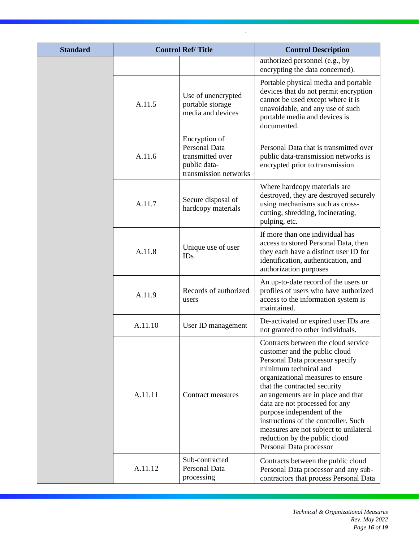| <b>Standard</b> | <b>Control Ref/Title</b> |                                                                                             | <b>Control Description</b>                                                                                                                                                                                                                                                                                                                                                                                                                                |
|-----------------|--------------------------|---------------------------------------------------------------------------------------------|-----------------------------------------------------------------------------------------------------------------------------------------------------------------------------------------------------------------------------------------------------------------------------------------------------------------------------------------------------------------------------------------------------------------------------------------------------------|
|                 |                          |                                                                                             | authorized personnel (e.g., by<br>encrypting the data concerned).                                                                                                                                                                                                                                                                                                                                                                                         |
|                 | A.11.5                   | Use of unencrypted<br>portable storage<br>media and devices                                 | Portable physical media and portable<br>devices that do not permit encryption<br>cannot be used except where it is<br>unavoidable, and any use of such<br>portable media and devices is<br>documented.                                                                                                                                                                                                                                                    |
|                 | A.11.6                   | Encryption of<br>Personal Data<br>transmitted over<br>public data-<br>transmission networks | Personal Data that is transmitted over<br>public data-transmission networks is<br>encrypted prior to transmission                                                                                                                                                                                                                                                                                                                                         |
|                 | A.11.7                   | Secure disposal of<br>hardcopy materials                                                    | Where hardcopy materials are<br>destroyed, they are destroyed securely<br>using mechanisms such as cross-<br>cutting, shredding, incinerating,<br>pulping, etc.                                                                                                                                                                                                                                                                                           |
|                 | A.11.8                   | Unique use of user<br>IDs                                                                   | If more than one individual has<br>access to stored Personal Data, then<br>they each have a distinct user ID for<br>identification, authentication, and<br>authorization purposes                                                                                                                                                                                                                                                                         |
|                 | A.11.9                   | Records of authorized<br>users                                                              | An up-to-date record of the users or<br>profiles of users who have authorized<br>access to the information system is<br>maintained.                                                                                                                                                                                                                                                                                                                       |
|                 | A.11.10                  | User ID management                                                                          | De-activated or expired user IDs are<br>not granted to other individuals.                                                                                                                                                                                                                                                                                                                                                                                 |
|                 | A.11.11                  | Contract measures                                                                           | Contracts between the cloud service<br>customer and the public cloud<br>Personal Data processor specify<br>minimum technical and<br>organizational measures to ensure<br>that the contracted security<br>arrangements are in place and that<br>data are not processed for any<br>purpose independent of the<br>instructions of the controller. Such<br>measures are not subject to unilateral<br>reduction by the public cloud<br>Personal Data processor |
|                 | A.11.12                  | Sub-contracted<br>Personal Data<br>processing                                               | Contracts between the public cloud<br>Personal Data processor and any sub-<br>contractors that process Personal Data                                                                                                                                                                                                                                                                                                                                      |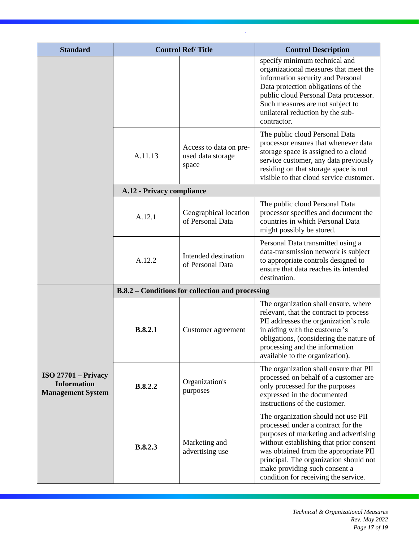| <b>Standard</b>                                                         | <b>Control Ref/Title</b>                         |                                                      | <b>Control Description</b>                                                                                                                                                                                                                                                                                                |
|-------------------------------------------------------------------------|--------------------------------------------------|------------------------------------------------------|---------------------------------------------------------------------------------------------------------------------------------------------------------------------------------------------------------------------------------------------------------------------------------------------------------------------------|
|                                                                         |                                                  |                                                      | specify minimum technical and<br>organizational measures that meet the<br>information security and Personal<br>Data protection obligations of the<br>public cloud Personal Data processor.<br>Such measures are not subject to<br>unilateral reduction by the sub-<br>contractor.                                         |
|                                                                         | A.11.13                                          | Access to data on pre-<br>used data storage<br>space | The public cloud Personal Data<br>processor ensures that whenever data<br>storage space is assigned to a cloud<br>service customer, any data previously<br>residing on that storage space is not<br>visible to that cloud service customer.                                                                               |
|                                                                         | A.12 - Privacy compliance                        |                                                      |                                                                                                                                                                                                                                                                                                                           |
|                                                                         | A.12.1                                           | Geographical location<br>of Personal Data            | The public cloud Personal Data<br>processor specifies and document the<br>countries in which Personal Data<br>might possibly be stored.                                                                                                                                                                                   |
|                                                                         | A.12.2                                           | Intended destination<br>of Personal Data             | Personal Data transmitted using a<br>data-transmission network is subject<br>to appropriate controls designed to<br>ensure that data reaches its intended<br>destination.                                                                                                                                                 |
|                                                                         | B.8.2 – Conditions for collection and processing |                                                      |                                                                                                                                                                                                                                                                                                                           |
| $ISO 27701 - Privacy$<br><b>Information</b><br><b>Management System</b> | <b>B.8.2.1</b>                                   | Customer agreement                                   | The organization shall ensure, where<br>relevant, that the contract to process<br>PII addresses the organization's role<br>in aiding with the customer's<br>obligations, (considering the nature of<br>processing and the information<br>available to the organization).                                                  |
|                                                                         | <b>B.8.2.2</b>                                   | Organization's<br>purposes                           | The organization shall ensure that PII<br>processed on behalf of a customer are<br>only processed for the purposes<br>expressed in the documented<br>instructions of the customer.                                                                                                                                        |
|                                                                         | <b>B.8.2.3</b>                                   | Marketing and<br>advertising use                     | The organization should not use PII<br>processed under a contract for the<br>purposes of marketing and advertising<br>without establishing that prior consent<br>was obtained from the appropriate PII<br>principal. The organization should not<br>make providing such consent a<br>condition for receiving the service. |

 $\Box$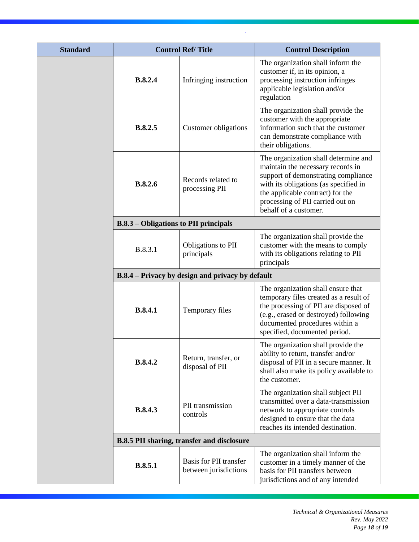| <b>Standard</b> | <b>Control Ref/Title</b>                         |                                                   | <b>Control Description</b>                                                                                                                                                                                                                                 |  |
|-----------------|--------------------------------------------------|---------------------------------------------------|------------------------------------------------------------------------------------------------------------------------------------------------------------------------------------------------------------------------------------------------------------|--|
|                 | <b>B.8.2.4</b>                                   | Infringing instruction                            | The organization shall inform the<br>customer if, in its opinion, a<br>processing instruction infringes<br>applicable legislation and/or<br>regulation                                                                                                     |  |
|                 | <b>B.8.2.5</b>                                   | Customer obligations                              | The organization shall provide the<br>customer with the appropriate<br>information such that the customer<br>can demonstrate compliance with<br>their obligations.                                                                                         |  |
|                 | <b>B.8.2.6</b>                                   | Records related to<br>processing PII              | The organization shall determine and<br>maintain the necessary records in<br>support of demonstrating compliance<br>with its obligations (as specified in<br>the applicable contract) for the<br>processing of PII carried out on<br>behalf of a customer. |  |
|                 | <b>B.8.3 – Obligations to PII principals</b>     |                                                   |                                                                                                                                                                                                                                                            |  |
|                 | B.8.3.1                                          | Obligations to PII<br>principals                  | The organization shall provide the<br>customer with the means to comply<br>with its obligations relating to PII<br>principals                                                                                                                              |  |
|                 | B.8.4 – Privacy by design and privacy by default |                                                   |                                                                                                                                                                                                                                                            |  |
|                 | <b>B.8.4.1</b>                                   | Temporary files                                   | The organization shall ensure that<br>temporary files created as a result of<br>the processing of PII are disposed of<br>(e.g., erased or destroyed) following<br>documented procedures within a<br>specified, documented period.                          |  |
|                 | <b>B.8.4.2</b>                                   | Return, transfer, or<br>disposal of PII           | The organization shall provide the<br>ability to return, transfer and/or<br>disposal of PII in a secure manner. It<br>shall also make its policy available to<br>the customer.                                                                             |  |
|                 | <b>B.8.4.3</b>                                   | PII transmission<br>controls                      | The organization shall subject PII<br>transmitted over a data-transmission<br>network to appropriate controls<br>designed to ensure that the data<br>reaches its intended destination.                                                                     |  |
|                 |                                                  | <b>B.8.5 PII sharing, transfer and disclosure</b> |                                                                                                                                                                                                                                                            |  |
|                 | <b>B.8.5.1</b>                                   | Basis for PII transfer<br>between jurisdictions   | The organization shall inform the<br>customer in a timely manner of the<br>basis for PII transfers between<br>jurisdictions and of any intended                                                                                                            |  |